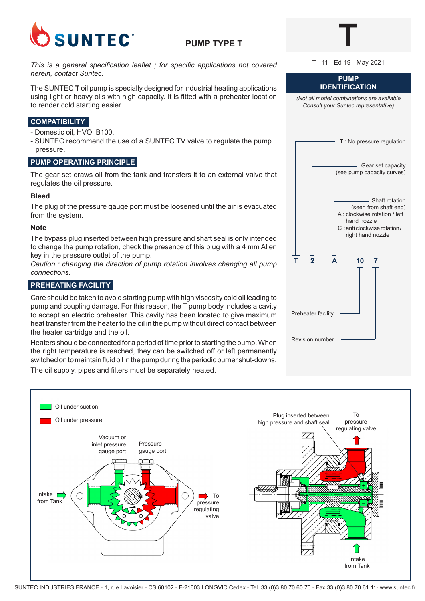

## **PUMP TYPE T**

*This is a general specification leaflet ; for specific applications not covered herein, contact Suntec.*

The SUNTEC **T** oil pump is specially designed for industrial heating applications using light or heavy oils with high capacity. It is fitted with a preheater location to render cold starting easier.

## **COMPATIBILITY**

- Domestic oil, HVO, B100.
- SUNTEC recommend the use of a SUNTEC TV valve to regulate the pump pressure.

## **PUMP OPERATING PRINCIPLE**

The gear set draws oil from the tank and transfers it to an external valve that regulates the oil pressure.

### **Bleed**

The plug of the pressure gauge port must be loosened until the air is evacuated from the system.

### **Note**

The bypass plug inserted between high pressure and shaft seal is only intended to change the pump rotation, check the presence of this plug with a 4 mm Allen key in the pressure outlet of the pump.

*Caution : changing the direction of pump rotation involves changing all pump connections.*

## **PREHEATING FACILITY**

Care should be taken to avoid starting pump with high viscosity cold oil leading to pump and coupling damage. For this reason, the T pump body includes a cavity to accept an electric preheater. This cavity has been located to give maximum heat transfer from the heater to the oil in the pump without direct contact between the heater cartridge and the oil.

Heaters should be connected for a period of time prior to starting the pump. When the right temperature is reached, they can be switched off or left permanently switched on to maintain fluid oil in the pump during the periodic burner shut-downs.

The oil supply, pipes and filters must be separately heated.



| . . | - 1 |  |
|-----|-----|--|
|     |     |  |

**PUMP IDENTIFICATION** *(Not all model combinations are available* 

| (ivol all model compliations are available<br>Consult your Suntec representative)                                                           |
|---------------------------------------------------------------------------------------------------------------------------------------------|
| T : No pressure regulation                                                                                                                  |
| Gear set capacity<br>(see pump capacity curves)                                                                                             |
| Shaft rotation<br>(seen from shaft end)<br>A : clockwise rotation / left<br>hand nozzle<br>C: anti clockwise rotation/<br>right hand nozzle |
| А<br>10<br>7<br>Preheater facility                                                                                                          |
| <b>Revision number</b>                                                                                                                      |
|                                                                                                                                             |

T - 11 - Ed 19 - May 2021